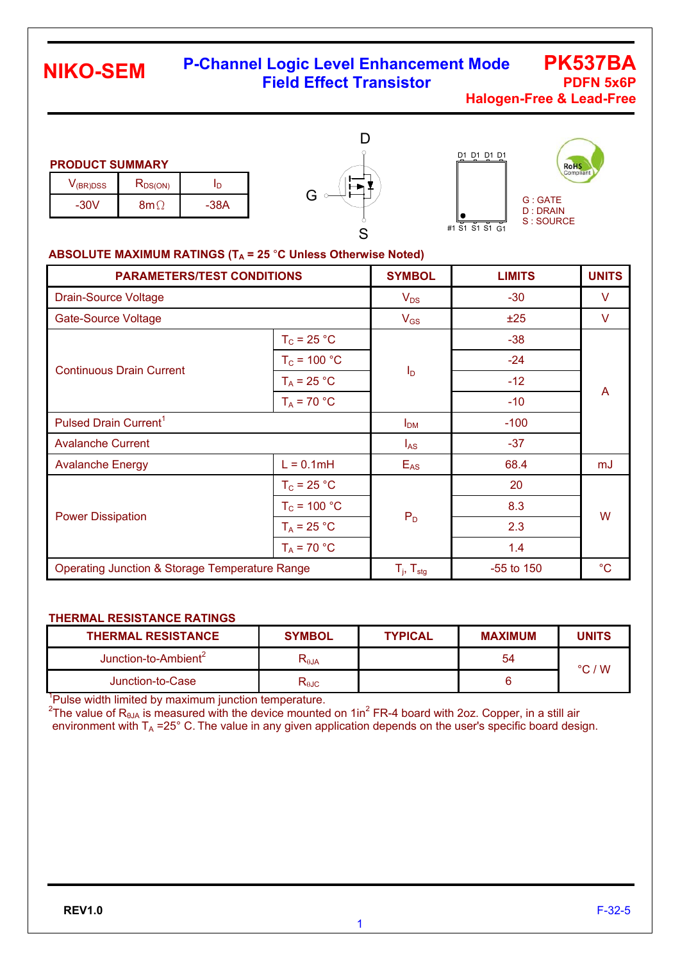## **P-Channel Logic Level Enhancement Mode Field Effect Transistor <b>PDFN 5x6P**

**PK537BA Halogen-Free & Lead-Free**

#### **PRODUCT SUMMARY**

| $V$ (BR)DSS | $R_{DS(ON)}$ |        |  |
|-------------|--------------|--------|--|
| $-30V$      | Ջՠ           | $-38A$ |  |





#### ABSOLUTE MAXIMUM RATINGS (T<sub>A</sub> = 25 °C Unless Otherwise Noted)

| <b>PARAMETERS/TEST CONDITIONS</b>                         | <b>SYMBOL</b>            | <b>LIMITS</b>    | <b>UNITS</b> |    |  |
|-----------------------------------------------------------|--------------------------|------------------|--------------|----|--|
| <b>Drain-Source Voltage</b>                               |                          | $V_{DS}$         | $-30$        | V  |  |
| <b>Gate-Source Voltage</b>                                |                          | $V_{GS}$         | ±25          | V  |  |
|                                                           | $T_c = 25 °C$            |                  | $-38$        | A  |  |
| <b>Continuous Drain Current</b>                           | $T_c$ = 100 °C           |                  | $-24$        |    |  |
|                                                           | $T_A = 25 °C$            | $I_{\mathsf{D}}$ | $-12$        |    |  |
|                                                           | $T_A = 70 °C$            |                  | $-10$        |    |  |
| Pulsed Drain Current <sup>1</sup>                         | I <sub>DM</sub>          | $-100$           |              |    |  |
| <b>Avalanche Current</b>                                  | $I_{AS}$                 | $-37$            |              |    |  |
| <b>Avalanche Energy</b>                                   | $L = 0.1mH$              | $E_{AS}$         | 68.4         | mJ |  |
|                                                           | $T_c = 25 °C$            |                  | 20           |    |  |
|                                                           | $T_c$ = 100 °C           | $P_D$            | 8.3          | W  |  |
| <b>Power Dissipation</b>                                  | $T_A = 25 °C$            |                  | 2.3          |    |  |
|                                                           | $T_A = 70 °C$            |                  | 1.4          |    |  |
| <b>Operating Junction &amp; Storage Temperature Range</b> | $T_i$ , $T_{\text{stg}}$ | $-55$ to 150     | $^{\circ}C$  |    |  |

#### **THERMAL RESISTANCE RATINGS**

| <b>THERMAL RESISTANCE</b>        | <b>SYMBOL</b>                                      | <b>TYPICAL</b> | <b>MAXIMUM</b> | <b>UNITS</b>    |
|----------------------------------|----------------------------------------------------|----------------|----------------|-----------------|
| Junction-to-Ambient <sup>2</sup> | $\mathsf{R}_{\scriptscriptstyle\theta\mathsf{JA}}$ |                | 54             | $\degree$ C / W |
| Junction-to-Case                 | ৲⊎⊂                                                |                |                |                 |

<sup>1</sup>Pulse width limited by maximum junction temperature.

<sup>2</sup>The value of R<sub>8JA</sub> is measured with the device mounted on 1in<sup>2</sup> FR-4 board with 2oz. Copper, in a still air environment with  $T_A = 25^\circ$  C. The value in any given application depends on the user's specific board design.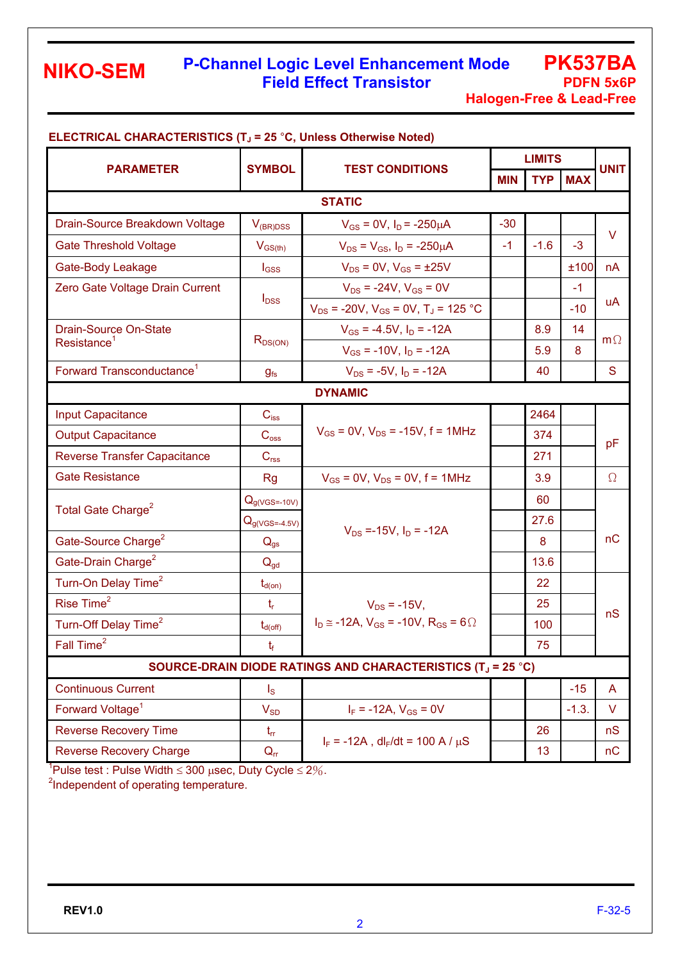#### **P-Channel Logic Level Enhancement Mode Field Effect Transistor <b>PDFN 5x6P**

**PK537BA Halogen-Free & Lead-Free**

|                                                                         |                                         |                                                           | <b>LIMITS</b> |        |                |             |  |
|-------------------------------------------------------------------------|-----------------------------------------|-----------------------------------------------------------|---------------|--------|----------------|-------------|--|
| <b>PARAMETER</b>                                                        | <b>SYMBOL</b><br><b>TEST CONDITIONS</b> |                                                           | <b>MIN</b>    |        | <b>TYP MAX</b> | <b>UNIT</b> |  |
| <b>STATIC</b>                                                           |                                         |                                                           |               |        |                |             |  |
| Drain-Source Breakdown Voltage                                          | $V_{(BR)DSS}$                           | $V_{GS}$ = 0V, $I_D$ = -250 $\mu$ A                       | $-30$         |        |                |             |  |
| <b>Gate Threshold Voltage</b>                                           | $V_{GS(th)}$                            | $V_{DS} = V_{GS}$ , $I_D = -250 \mu A$                    | $-1$          | $-1.6$ | $-3$           | V           |  |
| Gate-Body Leakage                                                       | $I_{GSS}$                               | $V_{DS} = 0V$ , $V_{GS} = \pm 25V$                        |               |        | ±100           | nA          |  |
| Zero Gate Voltage Drain Current                                         |                                         | $V_{DS}$ = -24V, $V_{GS}$ = 0V                            |               |        | $-1$           | uA          |  |
|                                                                         | $I_{DSS}$                               | $V_{DS}$ = -20V, $V_{GS}$ = 0V, T <sub>J</sub> = 125 °C   |               |        | $-10$          |             |  |
| Drain-Source On-State                                                   |                                         | $V_{GS}$ = -4.5V, $I_D$ = -12A                            |               | 8.9    | 14             |             |  |
| Resistance <sup>1</sup>                                                 | $R_{DS(ON)}$                            | $V_{GS}$ = -10V, $I_D$ = -12A                             |               | 5.9    | 8              | $m\Omega$   |  |
| Forward Transconductance <sup>1</sup>                                   | $g_{fs}$                                | $V_{DS}$ = -5V, $I_D$ = -12A                              |               | 40     |                | S           |  |
|                                                                         |                                         | <b>DYNAMIC</b>                                            |               |        |                |             |  |
| <b>Input Capacitance</b>                                                | $C_{iss}$                               |                                                           |               | 2464   |                | pF          |  |
| <b>Output Capacitance</b>                                               | $C_{\rm oss}$                           | $V_{GS}$ = 0V, $V_{DS}$ = -15V, f = 1MHz                  |               | 374    |                |             |  |
| <b>Reverse Transfer Capacitance</b>                                     | C <sub>rss</sub>                        |                                                           |               | 271    |                |             |  |
| <b>Gate Resistance</b>                                                  | <b>Rg</b>                               | $V_{GS}$ = 0V, $V_{DS}$ = 0V, f = 1MHz                    |               | 3.9    |                | $\Omega$    |  |
| Total Gate Charge <sup>2</sup>                                          | $Qg(VGS=-10V)$                          |                                                           |               | 60     |                |             |  |
|                                                                         | $Q_{g(VGS=.4.5V)}$                      | $V_{DS}$ =-15V, $I_D$ = -12A                              |               | 27.6   |                | nC          |  |
| Gate-Source Charge <sup>2</sup>                                         | $Q_{gs}$                                |                                                           |               | 8      |                |             |  |
| Gate-Drain Charge <sup>2</sup>                                          | $Q_{gd}$                                |                                                           |               | 13.6   |                |             |  |
| Turn-On Delay Time <sup>2</sup>                                         | $t_{d(on)}$                             |                                                           |               | 22     |                |             |  |
| Rise Time <sup>2</sup>                                                  | $t_{r}$                                 | $V_{DS}$ = -15V,                                          |               | 25     |                | nS          |  |
| Turn-Off Delay Time <sup>2</sup>                                        | $t_{d(\text{off})}$                     | $I_D \approx -12A$ , $V_{GS} = -10V$ , $R_{GS} = 6\Omega$ |               | 100    |                |             |  |
| Fall Time <sup>2</sup>                                                  | $t_{\rm f}$                             |                                                           |               | 75     |                |             |  |
| SOURCE-DRAIN DIODE RATINGS AND CHARACTERISTICS (T <sub>J</sub> = 25 °C) |                                         |                                                           |               |        |                |             |  |
| <b>Continuous Current</b>                                               | $\mathsf{I}_\mathsf{S}$                 |                                                           |               |        | $-15$          | A           |  |
| Forward Voltage <sup>1</sup>                                            | $V_{SD}$                                | $I_F = -12A$ , $V_{GS} = 0V$                              |               |        | $-1.3.$        | V           |  |
| <b>Reverse Recovery Time</b>                                            | $t_{rr}$                                |                                                           |               | 26     |                | nS          |  |
| <b>Reverse Recovery Charge</b>                                          | $Q_{rr}$                                | $I_F = -12A$ , dl <sub>F</sub> /dt = 100 A / $\mu$ S      |               | 13     |                | nC          |  |

#### **ELECTRICAL CHARACTERISTICS (TJ = 25** °**C, Unless Otherwise Noted)**

<sup>1</sup>Pulse test : Pulse Width  $\leq 300$  usec, Duty Cycle  $\leq 2\%$ .

 $2$ Independent of operating temperature.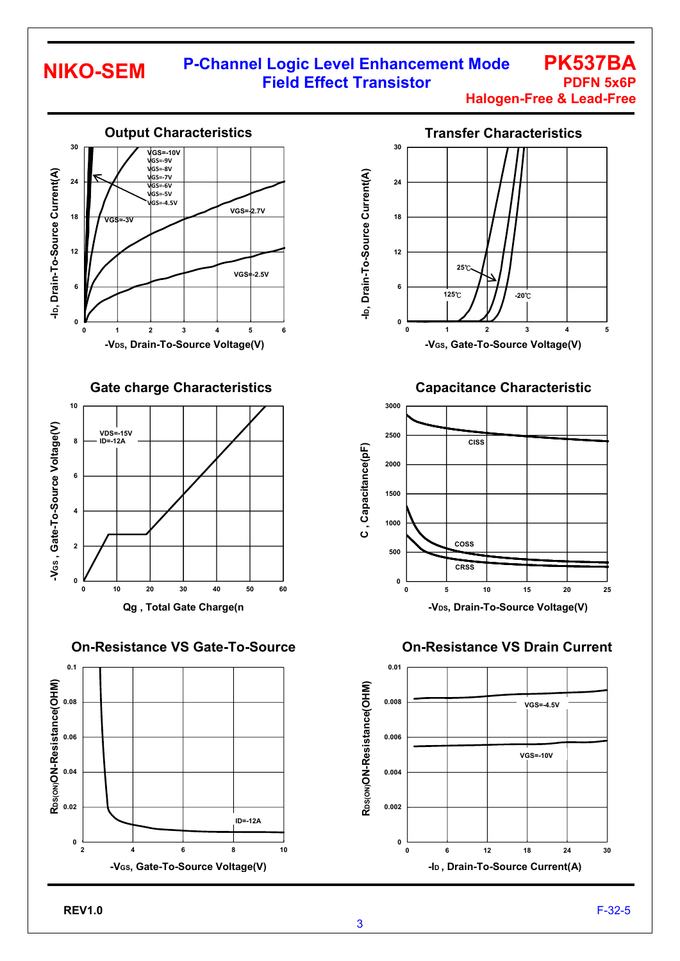## **P-Channel Logic Level Enhancement Mode Field Effect Transistor <b>PDFN 5x6P**

**Halogen-Free & Lead-Free**

**PK537BA**



**On-Resistance VS Gate-To-Source** 





**Capacitance Characteristic**



**On-Resistance VS Drain Current**

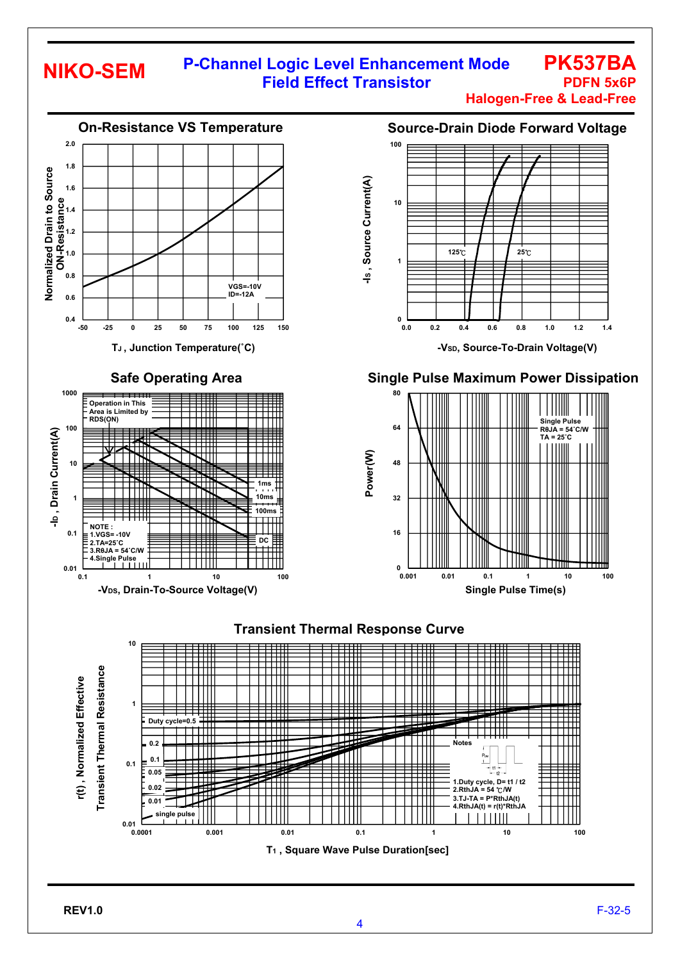### **P-Channel Logic Level Enhancement Mode Field Effect Transistor <b>PDFN 5x6P**

**Halogen-Free & Lead-Free**

**PK537BA**



#### **Source-Drain Diode Forward Voltage**



**-VSD, Source-To-Drain Voltage(V)** 



**4.RthJA(t) = r(t)\*RthJA**

 $\perp$ 

┯┯

.<br>12

 $\parallel$ 



ــــا 0.01<br>0.0001

**single pulse** 

**0.0001 0.001 0.01 0.1 1 10 100**

**T1 , Square Wave Pulse Duration[sec]**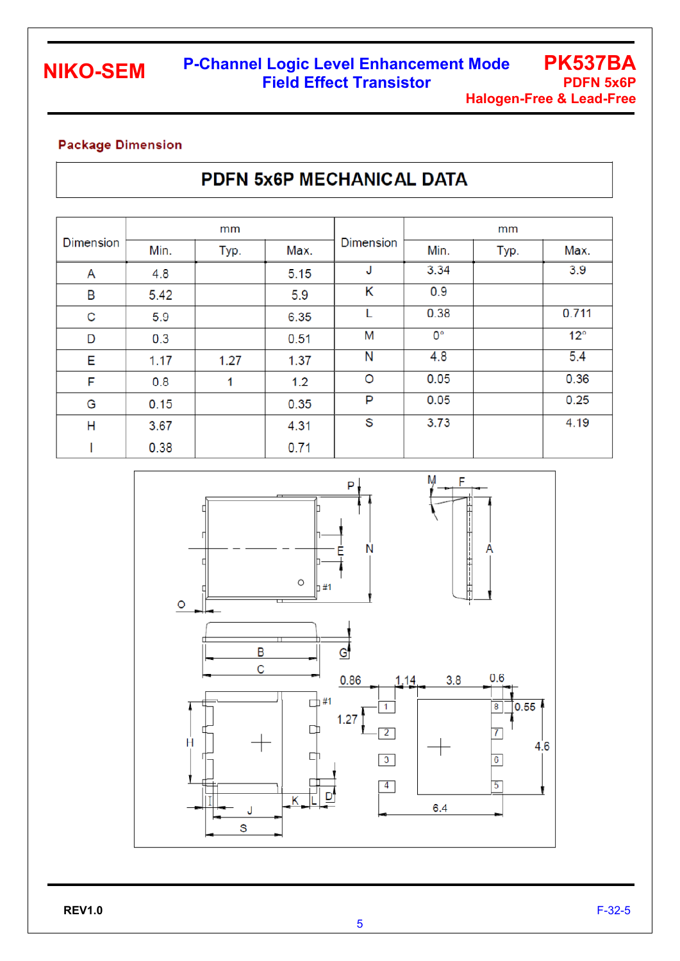## **P-Channel Logic Level Enhancement Mode Field Effect Transistor <b>PDFN 5x6P**

**PK537BA Halogen-Free & Lead-Free**

#### **Package Dimension**

# PDFN 5x6P MECHANICAL DATA

| <b>Dimension</b> | mm   |      |      |                  | mm          |      |              |
|------------------|------|------|------|------------------|-------------|------|--------------|
|                  | Min. | Typ. | Max. | <b>Dimension</b> | Min.        | Typ. | Max.         |
| A                | 4.8  |      | 5.15 | J                | 3.34        |      | 3.9          |
| B                | 5.42 |      | 5.9  | Κ                | 0.9         |      |              |
| C                | 5.9  |      | 6.35 | L                | 0.38        |      | 0.711        |
| D                | 0.3  |      | 0.51 | M                | $0^{\circ}$ |      | $12^{\circ}$ |
| E                | 1.17 | 1.27 | 1.37 | N                | 4.8         |      | 5.4          |
| F                | 0.8  | 1    | 1.2  | O                | 0.05        |      | 0.36         |
| G                | 0.15 |      | 0.35 | P                | 0.05        |      | 0.25         |
| Η                | 3.67 |      | 4.31 | S                | 3.73        |      | 4.19         |
|                  | 0.38 |      | 0.71 |                  |             |      |              |

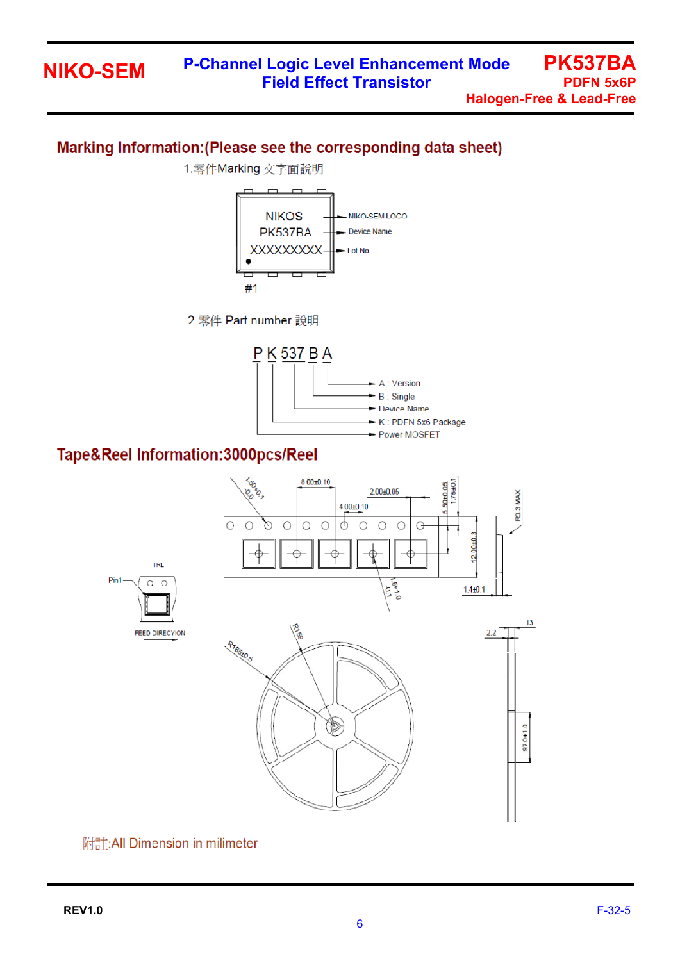## **P-Channel Logic Level Enhancement Mode Field Effect Transistor <b>PDFN 5x6P**

**PK537BA Halogen-Free & Lead-Free**

## Marking Information: (Please see the corresponding data sheet)



#### 附註:All Dimension in milimeter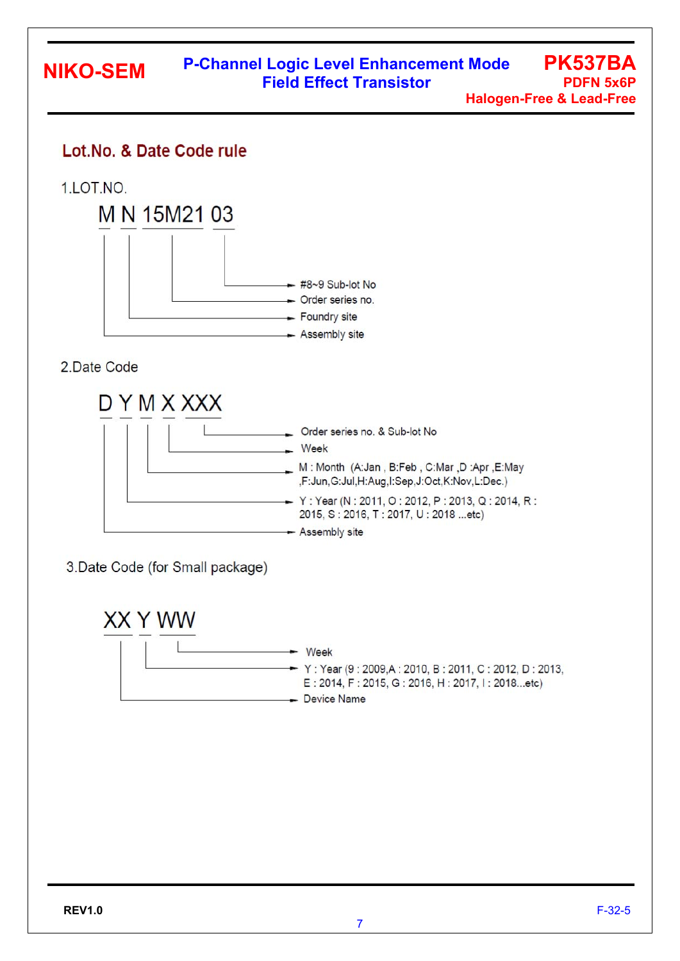## Lot.No. & Date Code rule

1.LOT.NO.



2.Date Code



3.Date Code (for Small package)